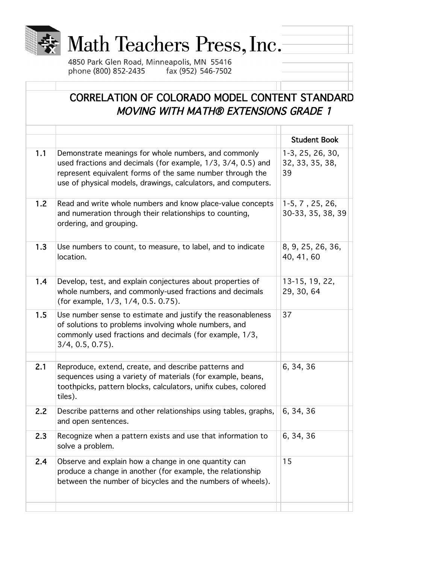

## Math Teachers Press, Inc.

4850 Park Glen Road, Minneapolis, MN 55416 phone (800) 852-2435 fax (952) 546-7502

## CORRELATION OF COLORADO MODEL CONTENT STANDARD MOVING WITH MATH® EXTENSIONS GRADE 1

|     |                                                                                                                                                                                                                                                    | <b>Student Book</b>                       |
|-----|----------------------------------------------------------------------------------------------------------------------------------------------------------------------------------------------------------------------------------------------------|-------------------------------------------|
| 1.1 | Demonstrate meanings for whole numbers, and commonly<br>used fractions and decimals (for example, 1/3, 3/4, 0.5) and<br>represent equivalent forms of the same number through the<br>use of physical models, drawings, calculators, and computers. | 1-3, 25, 26, 30,<br>32, 33, 35, 38,<br>39 |
| 1.2 | Read and write whole numbers and know place-value concepts<br>and numeration through their relationships to counting,<br>ordering, and grouping.                                                                                                   | $1-5, 7, 25, 26,$<br>30-33, 35, 38, 39    |
| 1.3 | Use numbers to count, to measure, to label, and to indicate<br>location.                                                                                                                                                                           | 8, 9, 25, 26, 36,<br>40, 41, 60           |
| 1.4 | Develop, test, and explain conjectures about properties of<br>whole numbers, and commonly-used fractions and decimals<br>(for example, 1/3, 1/4, 0.5. 0.75).                                                                                       | 13-15, 19, 22,<br>29, 30, 64              |
| 1.5 | Use number sense to estimate and justify the reasonableness<br>of solutions to problems involving whole numbers, and<br>commonly used fractions and decimals (for example, 1/3,<br>$3/4, 0.5, 0.75$ ).                                             | 37                                        |
|     |                                                                                                                                                                                                                                                    |                                           |
| 2.1 | Reproduce, extend, create, and describe patterns and<br>sequences using a variety of materials (for example, beans,<br>toothpicks, pattern blocks, calculators, unifix cubes, colored<br>tiles).                                                   | 6, 34, 36                                 |
| 2.2 | Describe patterns and other relationships using tables, graphs,<br>and open sentences.                                                                                                                                                             | 6, 34, 36                                 |
| 2.3 | Recognize when a pattern exists and use that information to<br>solve a problem.                                                                                                                                                                    | 6, 34, 36                                 |
| 2.4 | Observe and explain how a change in one quantity can<br>produce a change in another (for example, the relationship<br>between the number of bicycles and the numbers of wheels).                                                                   | 15                                        |
|     |                                                                                                                                                                                                                                                    |                                           |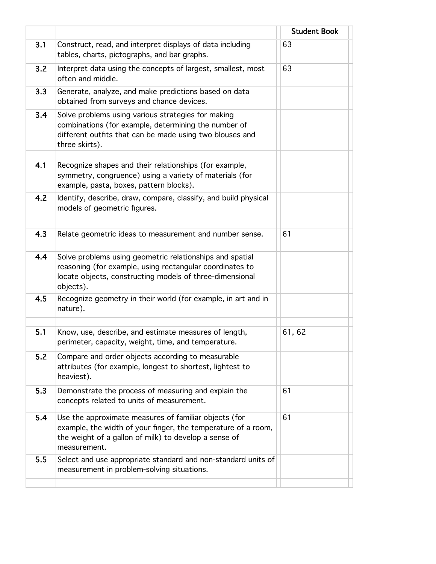|     |                                                                                                                                                                                                 | <b>Student Book</b> |
|-----|-------------------------------------------------------------------------------------------------------------------------------------------------------------------------------------------------|---------------------|
| 3.1 | Construct, read, and interpret displays of data including<br>tables, charts, pictographs, and bar graphs.                                                                                       | 63                  |
| 3.2 | Interpret data using the concepts of largest, smallest, most<br>often and middle.                                                                                                               | 63                  |
| 3.3 | Generate, analyze, and make predictions based on data<br>obtained from surveys and chance devices.                                                                                              |                     |
| 3.4 | Solve problems using various strategies for making<br>combinations (for example, determining the number of<br>different outfits that can be made using two blouses and<br>three skirts).        |                     |
| 4.1 | Recognize shapes and their relationships (for example,<br>symmetry, congruence) using a variety of materials (for<br>example, pasta, boxes, pattern blocks).                                    |                     |
| 4.2 | Identify, describe, draw, compare, classify, and build physical<br>models of geometric figures.                                                                                                 |                     |
| 4.3 | Relate geometric ideas to measurement and number sense.                                                                                                                                         | 61                  |
| 4.4 | Solve problems using geometric relationships and spatial<br>reasoning (for example, using rectangular coordinates to<br>locate objects, constructing models of three-dimensional<br>objects).   |                     |
| 4.5 | Recognize geometry in their world (for example, in art and in<br>nature).                                                                                                                       |                     |
|     |                                                                                                                                                                                                 |                     |
| 5.1 | Know, use, describe, and estimate measures of length,<br>perimeter, capacity, weight, time, and temperature.                                                                                    | 61,62               |
| 5.2 | Compare and order objects according to measurable<br>attributes (for example, longest to shortest, lightest to<br>heaviest).                                                                    |                     |
| 5.3 | Demonstrate the process of measuring and explain the<br>concepts related to units of measurement.                                                                                               | 61                  |
| 5.4 | Use the approximate measures of familiar objects (for<br>example, the width of your finger, the temperature of a room,<br>the weight of a gallon of milk) to develop a sense of<br>measurement. | 61                  |
| 5.5 | Select and use appropriate standard and non-standard units of<br>measurement in problem-solving situations.                                                                                     |                     |
|     |                                                                                                                                                                                                 |                     |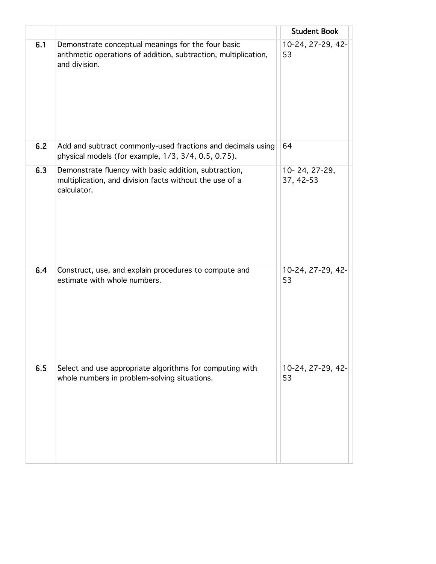|     |                                                                                                                                        | <b>Student Book</b>        |
|-----|----------------------------------------------------------------------------------------------------------------------------------------|----------------------------|
| 6.1 | Demonstrate conceptual meanings for the four basic<br>arithmetic operations of addition, subtraction, multiplication,<br>and division. | 10-24, 27-29, 42-<br>53    |
| 6.2 | Add and subtract commonly-used fractions and decimals using<br>physical models (for example, 1/3, 3/4, 0.5, 0.75).                     | 64                         |
| 6.3 | Demonstrate fluency with basic addition, subtraction,<br>multiplication, and division facts without the use of a<br>calculator.        | 10-24, 27-29,<br>37, 42-53 |
| 6.4 | Construct, use, and explain procedures to compute and<br>estimate with whole numbers.                                                  | 10-24, 27-29, 42-<br>53    |
| 6.5 | Select and use appropriate algorithms for computing with<br>whole numbers in problem-solving situations.                               | 10-24, 27-29, 42-<br>53    |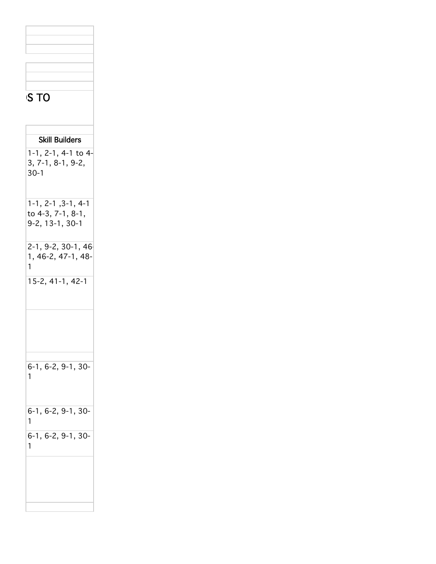| <b>STO</b>                                                   |  |  |  |
|--------------------------------------------------------------|--|--|--|
| <b>Skill Builders</b>                                        |  |  |  |
| 1-1, 2-1, 4-1 to 4-<br>$3, 7-1, 8-1, 9-2,$<br>$30-1$         |  |  |  |
| $1-1, 2-1, 3-1, 4-1$<br>to 4-3, 7-1, 8-1,<br>9-2, 13-1, 30-1 |  |  |  |
| $2-1, 9-2, 30-1, 46$<br>1, 46-2, 47-1, 48-<br>1              |  |  |  |
| 15-2, 41-1, 42-1                                             |  |  |  |
| $6-1, 6-2, 9-1, 30-$<br>$\mathbf{1}$                         |  |  |  |
| 6-1, 6-2, 9-1, 30-<br>1                                      |  |  |  |
| 6-1, 6-2, 9-1, 30-<br>1                                      |  |  |  |
|                                                              |  |  |  |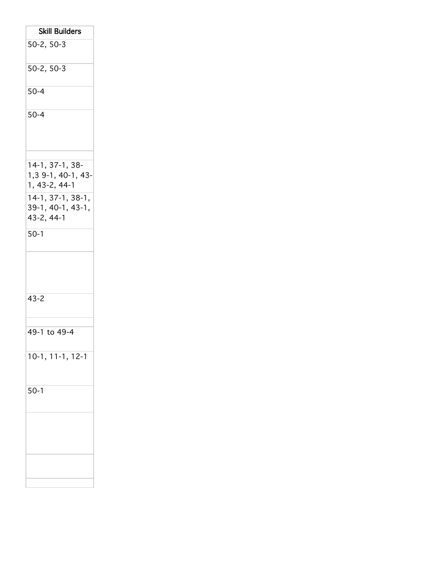| <b>Skill Builders</b>                                                                                                      |
|----------------------------------------------------------------------------------------------------------------------------|
| $50-2, 50-3$                                                                                                               |
| $50-2, 50-3$                                                                                                               |
| $50 - 4$                                                                                                                   |
| $50 - 4$                                                                                                                   |
| 14-1, 37-1, 38-<br>1,3 9-1, 40-1, 43-<br>1, 43-2, 44-1<br>$14-1, 37-1, 38-1,$<br>39-1, 40-1, 43-1,<br>43-2, 44-1<br>$50-1$ |
| $43 - 2$                                                                                                                   |
| 49-1 to 49-4                                                                                                               |
| $10-1, 11-1, 12-1$                                                                                                         |
| $50-1$                                                                                                                     |
|                                                                                                                            |
|                                                                                                                            |